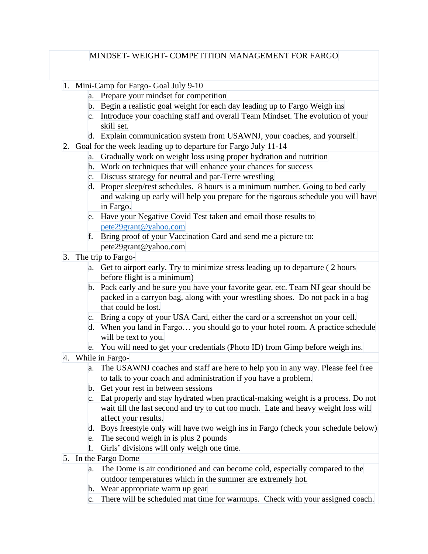#### MINDSET- WEIGHT- COMPETITION MANAGEMENT FOR FARGO

- 1. Mini-Camp for Fargo- Goal July 9-10
	- a. Prepare your mindset for competition
	- b. Begin a realistic goal weight for each day leading up to Fargo Weigh ins
	- c. Introduce your coaching staff and overall Team Mindset. The evolution of your skill set.
	- d. Explain communication system from USAWNJ, your coaches, and yourself.
- 2. Goal for the week leading up to departure for Fargo July 11-14
	- a. Gradually work on weight loss using proper hydration and nutrition
	- b. Work on techniques that will enhance your chances for success
	- c. Discuss strategy for neutral and par-Terre wrestling
	- d. Proper sleep/rest schedules. 8 hours is a minimum number. Going to bed early and waking up early will help you prepare for the rigorous schedule you will have in Fargo.
	- e. Have your Negative Covid Test taken and email those results to [pete29grant@yahoo.com](mailto:pete29grant@yahoo.com)
	- f. Bring proof of your Vaccination Card and send me a picture to: pete29grant@yahoo.com
- 3. The trip to Fargo
	- a. Get to airport early. Try to minimize stress leading up to departure ( 2 hours before flight is a minimum)
	- b. Pack early and be sure you have your favorite gear, etc. Team NJ gear should be packed in a carryon bag, along with your wrestling shoes. Do not pack in a bag that could be lost.
	- c. Bring a copy of your USA Card, either the card or a screenshot on your cell.
	- d. When you land in Fargo… you should go to your hotel room. A practice schedule will be text to you.
	- e. You will need to get your credentials (Photo ID) from Gimp before weigh ins.
- 4. While in Fargo
	- a. The USAWNJ coaches and staff are here to help you in any way. Please feel free to talk to your coach and administration if you have a problem.
	- b. Get your rest in between sessions
	- c. Eat properly and stay hydrated when practical-making weight is a process. Do not wait till the last second and try to cut too much. Late and heavy weight loss will affect your results.
	- d. Boys freestyle only will have two weigh ins in Fargo (check your schedule below)
	- e. The second weigh in is plus 2 pounds
	- f. Girls' divisions will only weigh one time.
- 5. In the Fargo Dome
	- a. The Dome is air conditioned and can become cold, especially compared to the outdoor temperatures which in the summer are extremely hot.
	- b. Wear appropriate warm up gear
	- c. There will be scheduled mat time for warmups. Check with your assigned coach.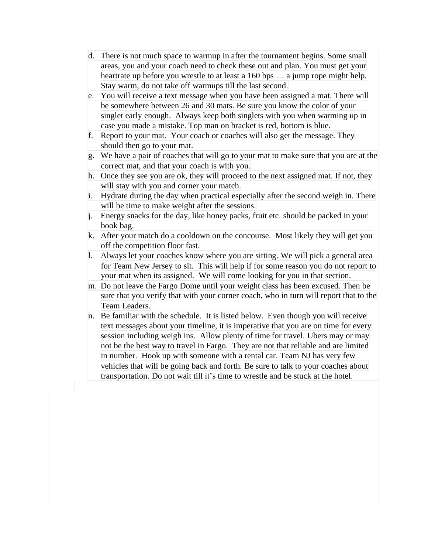- d. There is not much space to warmup in after the tournament begins. Some small areas, you and your coach need to check these out and plan. You must get your heartrate up before you wrestle to at least a 160 bps ... a jump rope might help. Stay warm, do not take off warmups till the last second.
- e. You will receive a text message when you have been assigned a mat. There will be somewhere between 26 and 30 mats. Be sure you know the color of your singlet early enough. Always keep both singlets with you when warming up in case you made a mistake. Top man on bracket is red, bottom is blue.
- f. Report to your mat. Your coach or coaches will also get the message. They should then go to your mat.
- g. We have a pair of coaches that will go to your mat to make sure that you are at the correct mat, and that your coach is with you.
- h. Once they see you are ok, they will proceed to the next assigned mat. If not, they will stay with you and corner your match.
- i. Hydrate during the day when practical especially after the second weigh in. There will be time to make weight after the sessions.
- j. Energy snacks for the day, like honey packs, fruit etc. should be packed in your book bag.
- k. After your match do a cooldown on the concourse. Most likely they will get you off the competition floor fast.
- l. Always let your coaches know where you are sitting. We will pick a general area for Team New Jersey to sit. This will help if for some reason you do not report to your mat when its assigned. We will come looking for you in that section.
- m. Do not leave the Fargo Dome until your weight class has been excused. Then be sure that you verify that with your corner coach, who in turn will report that to the Team Leaders.
- n. Be familiar with the schedule. It is listed below. Even though you will receive text messages about your timeline, it is imperative that you are on time for every session including weigh ins. Allow plenty of time for travel. Ubers may or may not be the best way to travel in Fargo. They are not that reliable and are limited in number. Hook up with someone with a rental car. Team NJ has very few vehicles that will be going back and forth. Be sure to talk to your coaches about transportation. Do not wait till it's time to wrestle and be stuck at the hotel.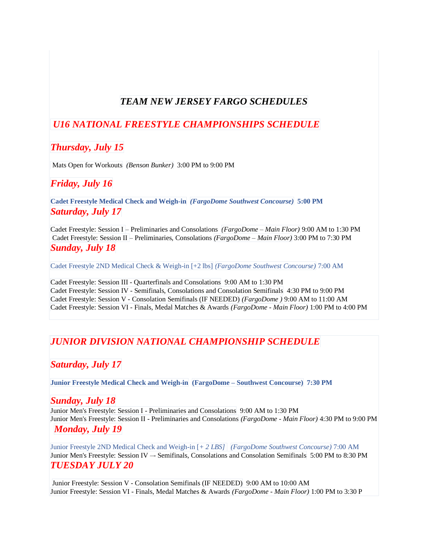## *TEAM NEW JERSEY FARGO SCHEDULES*

### *U16 NATIONAL FREESTYLE CHAMPIONSHIPS SCHEDULE*

### *Thursday, July 15*

Mats Open for Workouts *(Benson Bunker)* 3:00 PM to 9:00 PM

#### *Friday, July 16*

**Cadet Freestyle Medical Check and Weigh-in** *(FargoDome Southwest Concourse)* **5:00 PM** *Saturday, July 17*

Cadet Freestyle: Session I – Preliminaries and Consolations *(FargoDome – Main Floor)* 9:00 AM to 1:30 PM Cadet Freestyle: Session II – Preliminaries, Consolations *(FargoDome – Main Floor)* 3:00 PM to 7:30 PM *Sunday, July 18*

Cadet Freestyle 2ND Medical Check & Weigh-in [+2 lbs] *(FargoDome Southwest Concourse)* 7:00 AM

Cadet Freestyle: Session III - Quarterfinals and Consolations 9:00 AM to 1:30 PM Cadet Freestyle: Session IV - Semifinals, Consolations and Consolation Semifinals 4:30 PM to 9:00 PM Cadet Freestyle: Session V - Consolation Semifinals (IF NEEDED) *(FargoDome )* 9:00 AM to 11:00 AM Cadet Freestyle: Session VI - Finals, Medal Matches & Awards *(FargoDome - Main Floor)* 1:00 PM to 4:00 PM

### *JUNIOR DIVISION NATIONAL CHAMPIONSHIP SCHEDULE*

### *Saturday, July 17*

**Junior Freestyle Medical Check and Weigh-in (FargoDome – Southwest Concourse) 7:30 PM**

#### *Sunday, July 18*

Junior Men's Freestyle: Session I - Preliminaries and Consolations 9:00 AM to 1:30 PM Junior Men's Freestyle: Session II - Preliminaries and Consolations *(FargoDome - Main Floor)* 4:30 PM to 9:00 PM

#### *Monday, July 19*

Junior Freestyle 2ND Medical Check and Weigh-in [*+ 2 LBS] (FargoDome Southwest Concourse)* 7:00 AM Junior Men's Freestyle: Session IV –- Semifinals, Consolations and Consolation Semifinals 5:00 PM to 8:30 PM *TUESDAY JULY 20*

Junior Freestyle: Session V - Consolation Semifinals (IF NEEDED) 9:00 AM to 10:00 AM Junior Freestyle: Session VI - Finals, Medal Matches & Awards *(FargoDome - Main Floor)* 1:00 PM to 3:30 P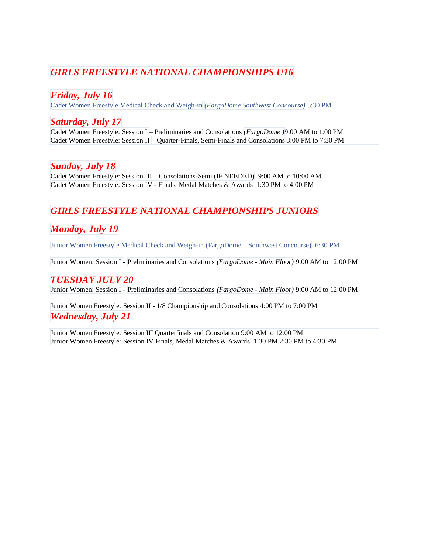# *GIRLS FREESTYLE NATIONAL CHAMPIONSHIPS U16*

### *Friday, July 16*

Cadet Women Freestyle Medical Check and Weigh-in *(FargoDome Southwest Concourse)* 5:30 PM

#### *Saturday, July 17*

Cadet Women Freestyle: Session I – Preliminaries and Consolations *(FargoDome )*9:00 AM to 1:00 PM Cadet Women Freestyle: Session II – Quarter-Finals, Semi-Finals and Consolations 3:00 PM to 7:30 PM

#### *Sunday, July 18*

Cadet Women Freestyle: Session III – Consolations-Semi (IF NEEDED) 9:00 AM to 10:00 AM Cadet Women Freestyle: Session IV - Finals, Medal Matches & Awards 1:30 PM to 4:00 PM

# *GIRLS FREESTYLE NATIONAL CHAMPIONSHIPS JUNIORS*

# *Monday, July 19*

Junior Women Freestyle Medical Check and Weigh-in (FargoDome – Southwest Concourse) 6:30 PM

Junior Women: Session I - Preliminaries and Consolations *(FargoDome - Main Floor)* 9:00 AM to 12:00 PM

#### *TUESDAY JULY 20*

Junior Women: Session I - Preliminaries and Consolations *(FargoDome - Main Floor)* 9:00 AM to 12:00 PM

#### Junior Women Freestyle: Session II - 1/8 Championship and Consolations 4:00 PM to 7:00 PM *Wednesday, July 21*

Junior Women Freestyle: Session III Quarterfinals and Consolation 9:00 AM to 12:00 PM Junior Women Freestyle: Session IV Finals, Medal Matches & Awards 1:30 PM 2:30 PM to 4:30 PM